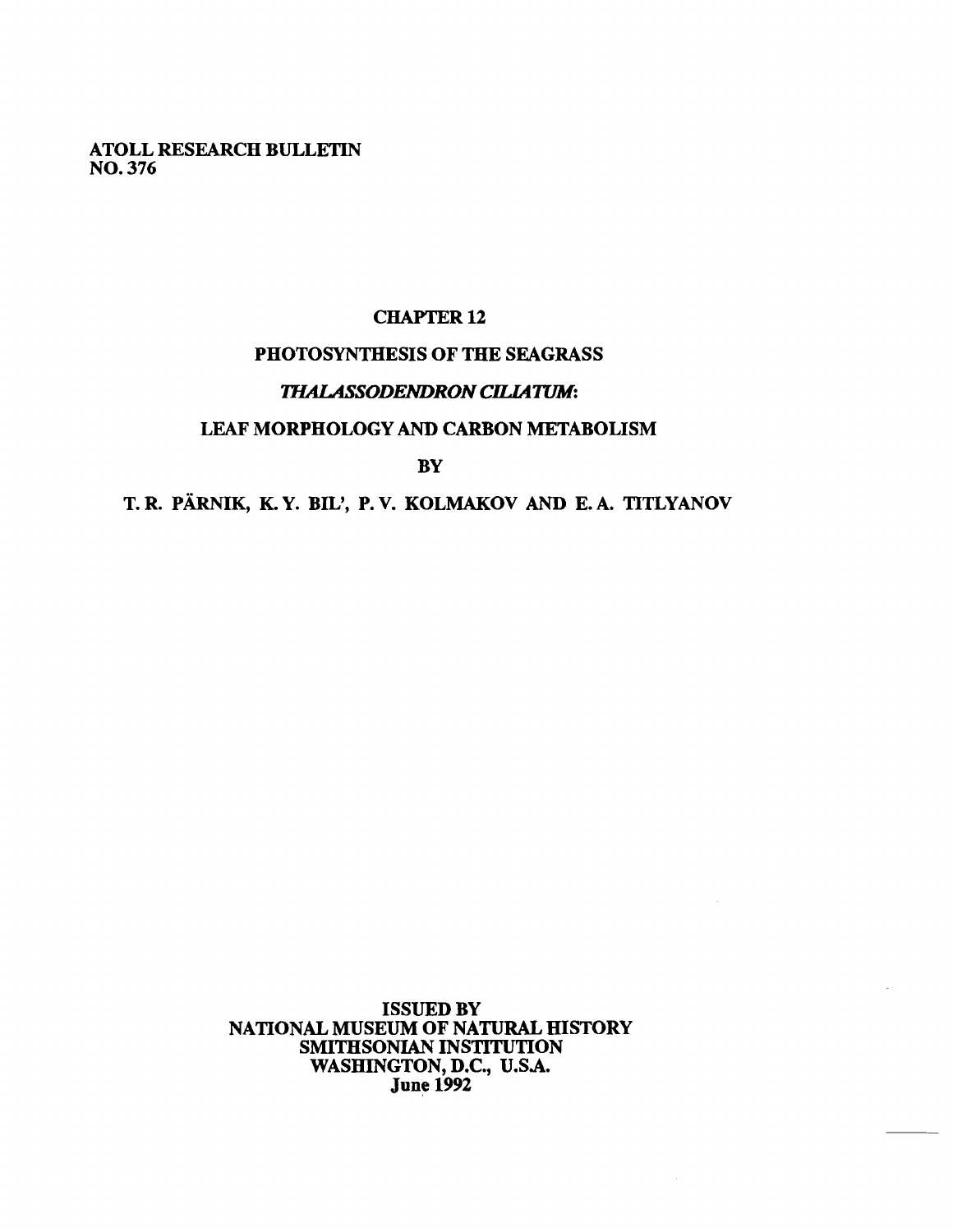**ATOLL RESEARCH BULLETIN NO. 376** 

## **CHAPTER 12**

# **PHOTOSYNTHESIS OF THE SEAGRASS**

## **THALASSODENDRON CILIATUM:**

## **LEAF MORPHOLOGY AND CARBON METABOLISM**

**BY** 

# T. R. PÄRNIK, K.Y. BIL', P.V. KOLMAKOV AND E.A. TITLYANOV

**ISSUED BY NATIONAL MUSEUM OF NATURAL HISTORY SMITHSONIAN INSTITUTION**  WASHINGTON, D.C., U.S.A. **June 1992**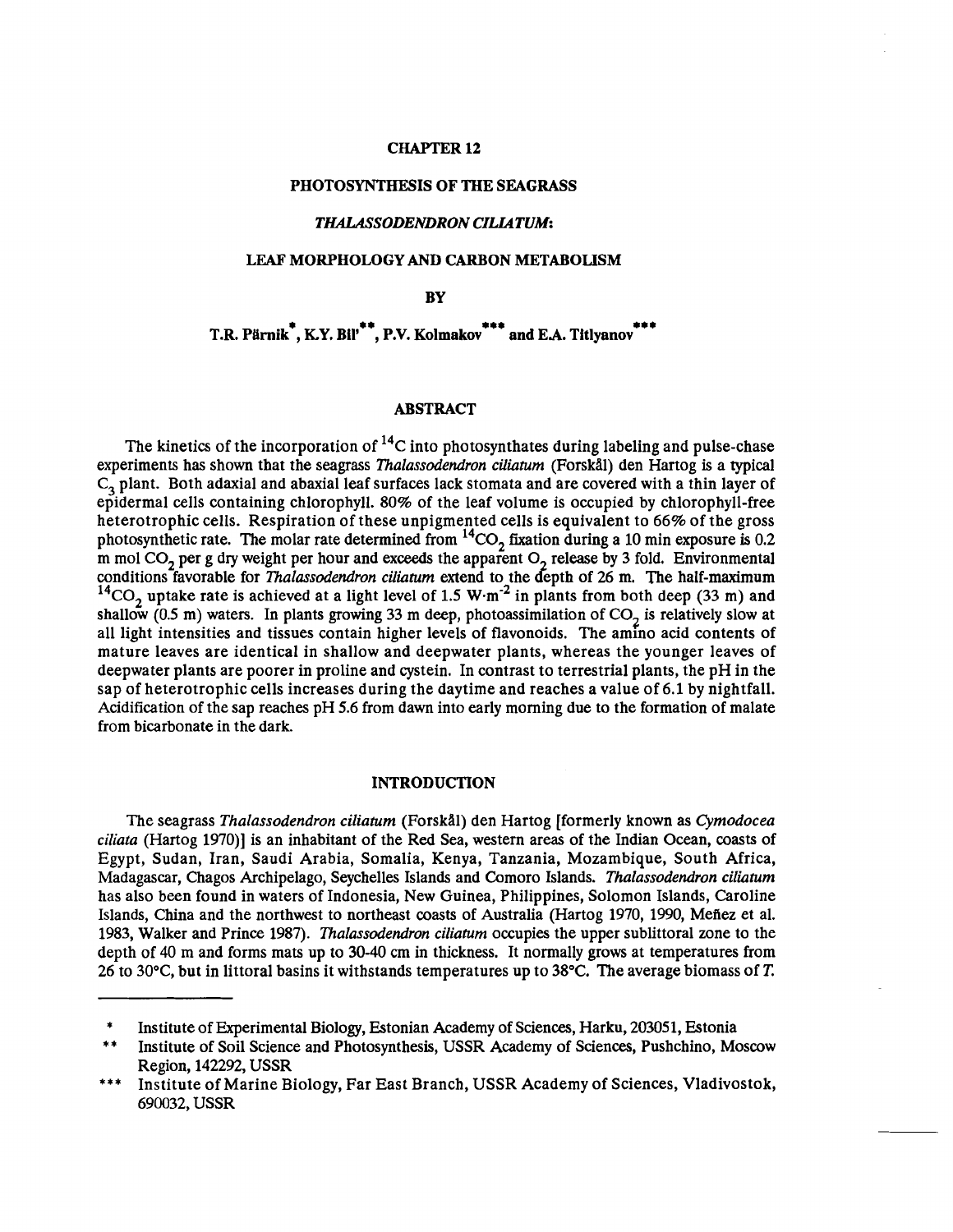#### CHAPTER **12**

#### PHOTOSYNTHESIS OF THE SEAGRASS

#### **THALASSODENDRON CILIATUM:**

#### LEAF MORPHOLOGY **AND** CARBON METABOLISM

**RV** 

T.R. Pärnik<sup>\*</sup>, K.Y. Bil<sup>\*\*</sup>, P.V. Kolmakov<sup>\*\*\*</sup> and E.A. Titlyanov<sup>\*\*\*</sup>

#### ABSTRACT

The kinetics of the incorporation of  ${}^{14}C$  into photosynthates during labeling and pulse-chase experiments has shown that the seagrass *Thalassudendron ciliaturn* (Forskill) den Hartog is a typical  $C<sub>3</sub>$  plant. Both adaxial and abaxial leaf surfaces lack stomata and are covered with a thin layer of epidermal cells containing chlorophyll. 80% of the leaf volume is occupied by chlorophyll-free heterotrophic cells. Respiration of these unpigmented cells is equivalent to 66% of the gross<br>photosynthetic rate. The molar rate determined from <sup>14</sup>CO<sub>2</sub> fixation during a 10 min exposure is 0.2 m mol CO<sub>2</sub> per g dry weight per hour and exceeds the apparent O<sub>2</sub> release by 3 fold. Environmental conditions favorable for *Thalassodendron ciliatum* extend to the depth of 26 m. The half-maximum <sup>14</sup>CO<sub>2</sub> uptake rate is achieved at a light level of 1.5 W·m<sup>-2</sup> in plants from both deep (33 m) and shallow (0.5 m) waters. In plants growing 33 m deep, photoassimilation of  $CO<sub>2</sub>$  is relatively slow at all light intensities and tissues contain higher levels of flavonoids. The amino acid contents of mature leaves are identical in shallow and deepwater plants, whereas the younger leaves of deepwater plants are poorer in proline and cystein. In contrast to terrestrial plants, the pH in the sap of heterotrophic cells increases during the daytime and reaches a value of 6.1 by nightfall. Acidification of the sap reaches pH 5.6 from dawn into early morning due to the formation of malate from bicarbonate in the dark.

#### INTRODUCTION

The seagrass *Thalassodendron ciliatum* (Forskill) den Hartog [formerly known as *Cymodocea ciliata* (Hartog 1970)l is an inhabitant of the Red Sea, western areas of the Indian Ocean, coasts of Egypt, Sudan, Iran, Saudi Arabia, Somalia, Kenya, Tanzania, Mozambique, South Africa, Madagascar, Chagos Archipelago, Seychelles Islands and Comoro Islands. *Thalassodendron ciliaturn*  has also been found in waters of Indonesia, New Guinea, Philippines, Solomon Islands, Caroline Islands, China and the northwest to northeast coasts of Australia (Hartog 1970, 1990, Mefiez et al. 1983, Walker and Prince 1987). *Thalassudendron ciliaturn* occupies the upper sublittoral zone to the depth of 40 m and forms mats up to 30-40 **cm** in thickness. It normally grows at temperatures from 26 to 30°C, but in littoral basins it withstands temperatures up to 38°C. The average biomass of **T.** 

Institute of Experimental Biology, Estonian Academy of Sciences, Harku, 203051, Estonia Institute of Soil Science and Photosynthesis, USSR Academy of Sciences, Pushchino, Moscow

Region, 142292, USSR

<sup>\*\*\*</sup> Institute of Marine Biology, Far East Branch, USSR Academy of Sciences, Vladivostok, 690032, USSR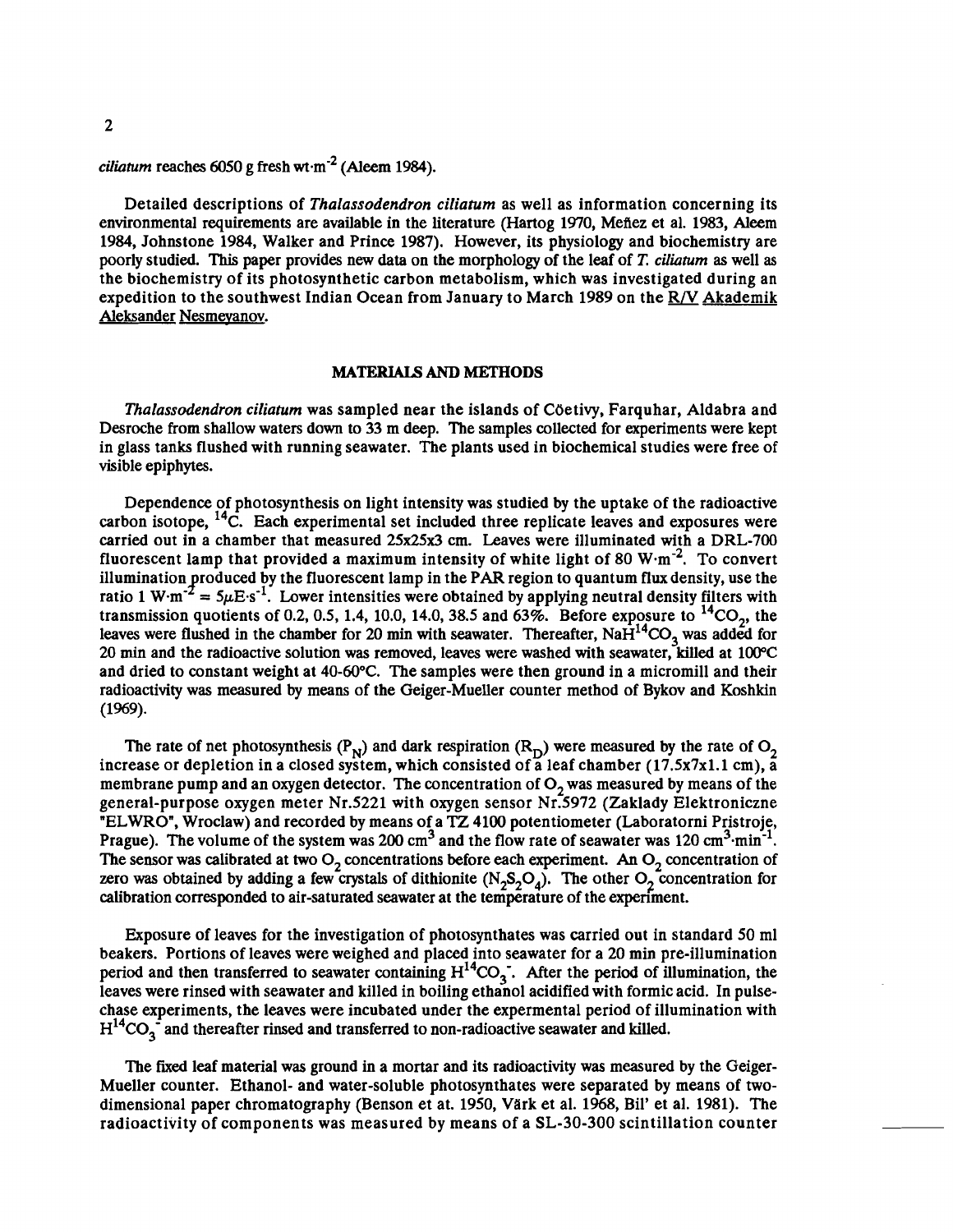## *ciliatum* reaches 6050 g fresh wt $\cdot$ m<sup>-2</sup> (Aleem 1984).

Detailed descriptions of *Thalassodendron ciliafum* as well as information concerning its environmental requirements are available in the literature (Hartog 1970, Mefiez et al. 1983, **Aleem**  1984, Johnstone 1984, Walker and Prince 1987). However, its physiology and biochemistry are poorly studied. This paper provides new data on the morphology of the leaf of **T.** *ciliamm* as well *as*  the biochemistry of its photosynthetic carbon metabolism, which was investigated during an expedition to the southwest Indian Ocean from January to March 1989 on the **R/V** Akademik Aleksander Nesmevanov.

#### **MATERIALS AND METHODS**

*Thalassodendron ciliafum* was sampled near the islands of COetivy, Farquhar, Aldabra and Desroche from shallow waters down to 33 m deep. The samples collected for experiments were kept in glass tanks flushed with running seawater. The plants used in biochemical studies were free of visible epiphytes.

Dependence of photosynthesis on light intensity was studied by the uptake of the radioactive carbon isotope, <sup>14</sup>C. Each experimental set included three replicate leaves and exposures were carried out in a chamber that measured  $25x25x3$  cm. Leaves were illuminated with a DRL-700 fluorescent lamp that provided a maximum intensity of white light of 80  $W·m<sup>-2</sup>$ . To convert illumination produced by the fluorescent lamp in the PAR region to quantum flux density, use the ratio 1 W·m<sup>-2</sup> =  $5 \mu E \cdot s^{-1}$ . Lower intensities were obtained by applying neutral density filters with transmission quotients of 0.2, 0.5, 1.4, 10.0, 14.0, 38.5 and 63%. Before exposure to  ${}^{14}CO_2$ , the leaves were flushed in the chamber for 20 min with seawater. Thereafter,  $NAH^{14}CO_3$  was added for 20 min and the radioactive solution was removed, leaves were washed with seawater, killed at 100°C and dried to constant weight at 40-60°C. The samples were then ground in a micromill and their radioactivity was measured by means of the Geiger-Mueller counter method of Bykov and Koshkin (1%9).

The rate of net photosynthesis ( $P_N$ ) and dark respiration ( $R_D$ ) were measured by the rate of  $O_2$ increase or depletion in a closed system, which consisted of a leaf chamber (17.5x7x1.1 cm), a membrane pump and an oxygen detector. The concentration of  $O<sub>2</sub>$  was measured by means of the general-purpose oxygen meter Nr.5221 with oxygen sensor Nr.5972 (Zaklady Elektroniczne "ELWRO", Wroclaw) and recorded by means of a TZ 4100 potentiometer (Laboratorni Pristroje, Prague). The volume of the system was 200 cm<sup>3</sup> and the flow rate of seawater was 120 cm<sup>3</sup>·min<sup>-1</sup>. The sensor was calibrated at two  $O_2$  concentrations before each experiment. An  $O_2$  concentration of zero was obtained by adding a few crystals of dithionite  $(N_2S_2O_4)$ . The other  $O_2$  concentration for calibration corresponded to air-saturated seawater at the temperature of the experiment.

Exposure of leaves for the investigation of photosynthates was carried out in standard 50 ml beakers. Portions of leaves were weighed and placed into seawater for a 20 min pre-illumination period and then transferred to seawater containing  $H^{14}CO_3$ . After the period of illumination, the leaves were rinsed with seawater and killed in boiling ethanol acidified with formic acid. In pulsechase experiments, the leaves were incubated under the expermental period of illumination with  $H<sup>14</sup>CO<sub>3</sub>$  and thereafter rinsed and transferred to non-radioactive seawater and killed.

The fixed leaf material was ground in a mortar and its radioactivity was measured by the Geiger-Mueller counter. Ethanol- and water-soluble photosynthates were separated by means of twodimensional paper chromatography (Benson et at. 1950, Värk et al. 1968, Bil' et al. 1981). The radioactivity of components was measured by means of a SL-30-300 scintillation counter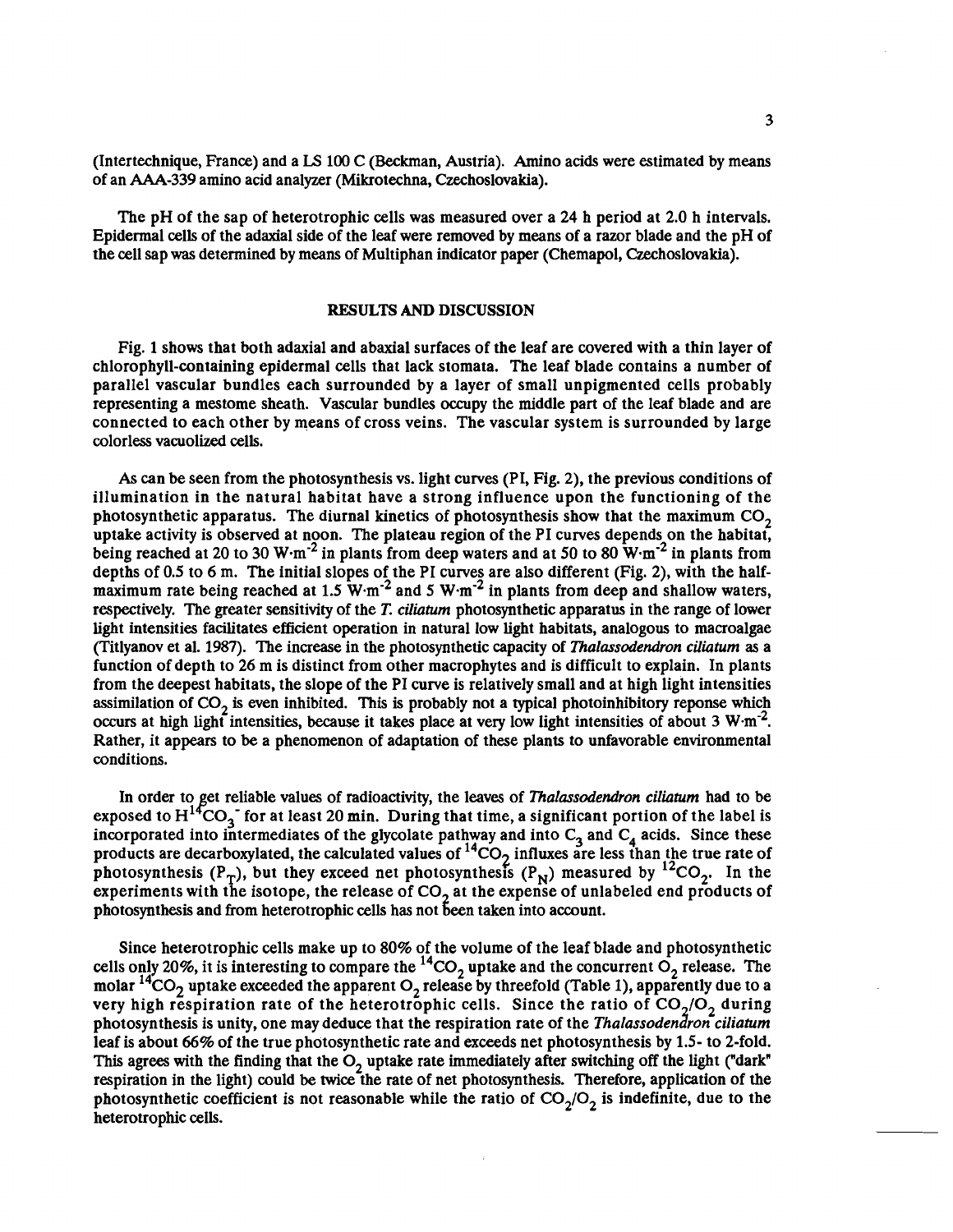(Intertechnique, France) and a **LS** 100 C (Beckman, Austria). Amino acids were estimated by means of an AAA-339 amino acid analyzer (Mikrotechna, Czechoslovakia).

The pH of the sap of heterotrophic cells was measured over a 24 h period at 2.0 h intervals. Epidermal cells of the adaxial side of the leaf were removed by means of a razor blade and the pH of the cell sap was determined by means of Multiphan indicator paper (Chemapol, Czechoslovakia).

### **RESULTS AND DISCUSSION**

Fig. 1 shows that both adaxial and abaxial surfaces of the leaf are covered with a thin layer of chlorophyll-containing epidermal cells that lack stomata. The leaf blade contains a number of parallel vascular bundles each surrounded by a layer of small unpigmented cells probably representing a mestome sheath. Vascular bundles occupy the middle part of the leaf blade and are connected to each other by means of cross veins. The vascular system is surrounded by large colorless vacuolized cells.

As can be seen from the photosynthesis vs. light curves (PI, Fig. 2), the previous conditions of illumination in the natural habitat have a strong influence upon the functioning of the photosynthetic apparatus. The diurnal kinetics of photosynthesis show that the maximum  $CO<sub>2</sub>$ uptake activity is observed at noon. The plateau region of the PI curves depends on the habitat, being reached at 20 to 30 W $\cdot$ m<sup>-2</sup> in plants from deep waters and at 50 to 80 W $\cdot$ m<sup>-2</sup> in plants from depths of 0.5 to 6 m. The initial slopes of the PI curves are also different (Fig. 2), with the halfmaximum rate being reached at  $1.5~W·m<sup>-2</sup>$  and  $5~W·m<sup>-2</sup>$  in plants from deep and shallow waters, respectively. The greater sensitivity of the T. *ciIiatum* photosynthetic apparatus in the range of lower light intensities facilitates efficient operation in natural low light habitats, analogous to macroalgae (Titlyanov et al. 1987). The increase in the photosynthetic capacity of *Thalassodendron ciliaturn* as a function of depth to 26 m is distinct from other macrophytes and is difficult to explain. In plants from the deepest habitats, the slope of the PI curve is relatively small and at high light intensities assimilation of  $CO<sub>2</sub>$  is even inhibited. This is probably not a typical photoinhibitory reponse which occurs at high light intensities, because it takes place at very low light intensities of about 3 W $\,\mathrm{m}^{-2}$ . Rather, it appears to be a phenomenon of adaptation of these plants to unfavorable environmental conditions.

In order to get reliable values of radioactivity, the leaves of *Thalassodendron ciliatum* had to be exposed to  $H^{14}CO_3^-$  for at least 20 min. During that time, a significant portion of the label is incorporated into intermediates of the glycolate pathway and into  $C_3$  and  $C_4$  acids. Since these products are decarboxylated, the calculated values of  ${}^{14}CO_2$  influxes are less than the true rate of photosynthesis ( $P_T$ ), but they exceed net photosynthesis ( $P_N$ ) measured by  ${}^{12}CO_2$ . In the experiments with the isotope, the release of  $CO<sub>2</sub>$  at the expense of unlabeled end products of photosynthesis and from heterotrophic cells has not been taken into account.

Since heterotrophic cells make up to 80% of the volume of the leaf blade and photosynthetic cells only 20%, it is interesting to compare the  ${}^{14}CO_2$  uptake and the concurrent  $O_2$  release. The molar  ${}^{14}CO_2$  uptake exceeded the apparent  $O_2$  release by threefold (Table 1), apparently due to a very high respiration rate of the heterotrophic cells. Since the ratio of  $CO<sub>2</sub>/O<sub>2</sub>$  during photosynthesis is unity, one may deduce that the respiration rate of the *Thalassodendron ciliatum* leaf is about 66% of the true photosynthetic rate and exceeds net photosynthesis by 1.5- to 2-fold. This agrees with the finding that the O<sub>2</sub> uptake rate immediately after switching off the light ("dark" respiration in the light) could be twice the rate of net photosynthesis. Therefore, application of the photosynthetic coefficient is not reasonable while the ratio of  $CO<sub>2</sub>/O<sub>2</sub>$  is indefinite, due to the heterotrophic cells.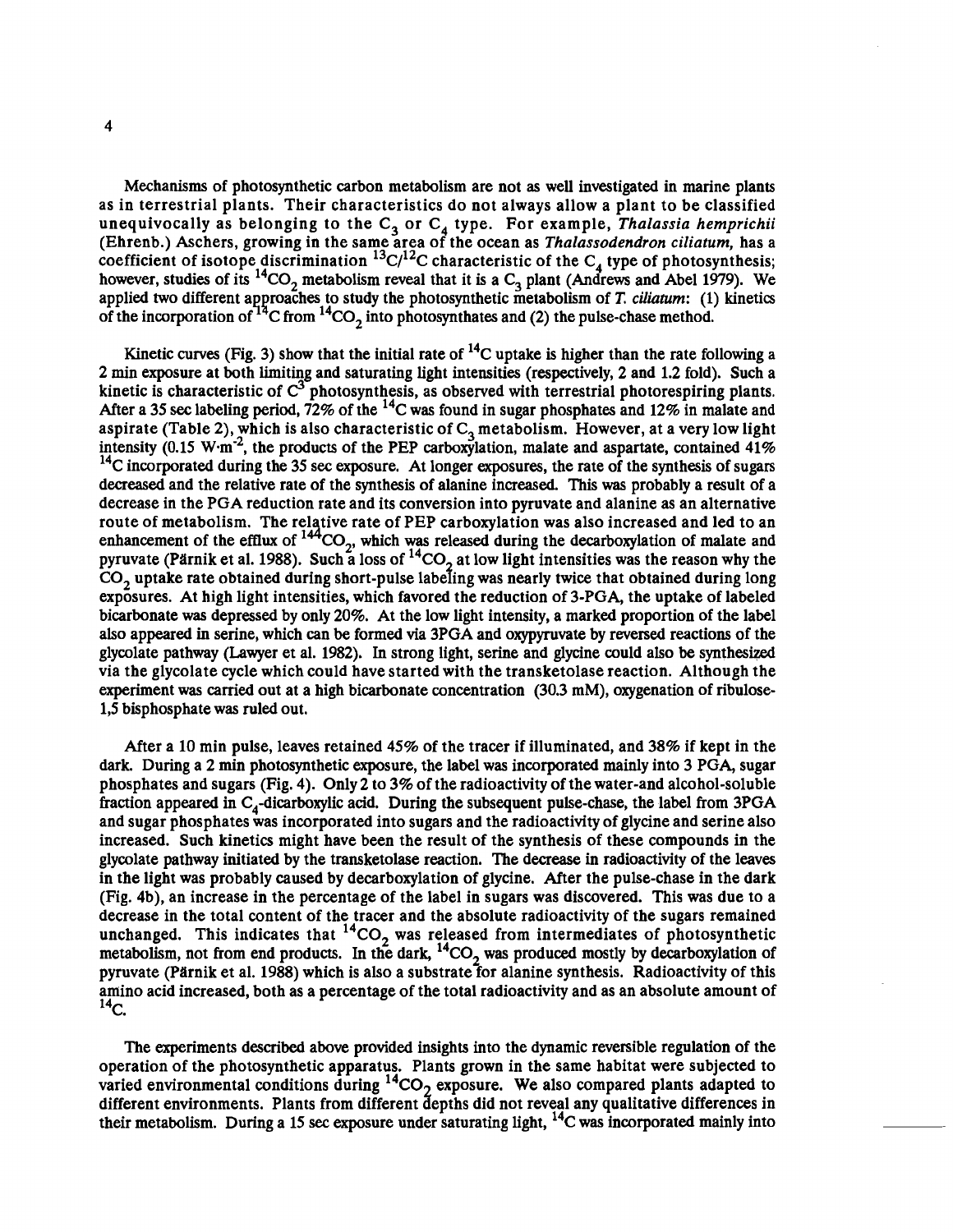Mechanisms of photosynthetic carbon metabolism are not as well investigated in marine plants as in terrestrial plants. Their characteristics do not always allow a plant to be classified unequivocally as belonging to the  $C_3$  or  $C_4$  type. For example, *Thalassia hemprichii* (Ehrenb.) Aschers, growing in the same area of the ocean as *Thalassodendron ciliaturn,* has a coefficient of isotope discrimination <sup>15</sup>C/<sup>12</sup>C characteristic of the C<sub>4</sub> type of photosynthesis; however, studies of its <sup>14</sup>CO<sub>2</sub> metabolism reveal that it is a C<sub>3</sub> plant (Andrews and Abel 1979). We applied two different approaches to study the photosynthetic metabolism of T. *ciliatum*: (1) kinetics of the incorporation of  $14^{\circ}$ C from  $14^{\circ}$ CO<sub>2</sub> into photosynthates and (2) the pulse-chase method.

Kinetic curves (Fig. 3) show that the initial rate of  $^{14}$ C uptake is higher than the rate following a 2 min exposure at both limiting and saturating light intensities (respectively, 2 and 1.2 fold). Such a kinetic is characteristic of **c3** photosynthesis, as observed with terrestrial photorespiring plants. After a 35 **sec** labeling period, 72% of the 14c was found in sugar phosphates and 12% in malate and aspirate (Table 2), which is also characteristic of  $C_3$  metabolism. However, at a very low light intensity (0.15 W·m<sup>-2</sup>, the products of the PEP carboxylation, malate and aspartate, contained  $41\%$ <sup>14</sup>C incorporated during the 35 sec exposure. At longer exposures, the rate of the synthesis of sugars decreased and the relative rate of the synthesis of alanine increased. This **was** probably a result of a decrease in the PGA reduction rate and its conversion into pyruvate and alanine as an alternative route of metabolism. The relative rate of PEP carboxylation was also increased and led to an enhancement of the efflux of <sup>144</sup>CO<sub>2</sub>, which was released during the decarboxylation of malate and pyruvate (Pärnik et al. 1988). Such a loss of <sup>14</sup>CO<sub>2</sub> at low light intensities was the reason why the CO, uptake rate obtained during short-pulse labefing was nearly twice that obtained during long exposures. At high light intensities, which favored the reduction of 3-PGA, the uptake of labeled bicarbonate **was** depressed by only 20%. At the low light intensity, a marked proportion of the label also appeared in serine, which can be formed via 3PGA and oxypyruvate by reversed reactions of the glycolate pathway (Lawyer et al. 1982). In strong light, serine and glycine could also be synthesized via the glycolate cycle which could have started with the transketolase reaction. Although the experiment was carried out at a high bicarbonate concentration  $(30.3 \text{ mM})$ , oxygenation of ribulose-1,s bisphosphate was ruled out.

After a 10 min pulse, leaves retained 45% of the tracer if illuminated, and 38% if kept in the dark. During a 2 min photosynthetic exposure, the label was incorporated mainly into 3 PGA, sugar phosphates and sugars (Fig. 4). Only 2 to 3% of the radioactivity of the water-and alcohol-soluble fraction appeared in  $C_4$ -dicarboxylic acid. During the subsequent pulse-chase, the label from 3PGA and sugar phosphates was incorporated into sugars and the radioactivity of glycine and serine also increased. Such kinetics might have been the result of the synthesis of these compounds in the glycolate pathway initiated by the transketolase reaction. The decrease in radioactivity of the leaves in the light was probably caused by decarboxylation of glycine. After the pulse-chase in the dark (Fig. 4b), an increase in the percentage of the label in sugars was discovered. This was due to a decrease in the total content of the tracer and the absolute radioactivity of the sugars remained unchanged. This indicates that  ${}^{14}CO_2$  was released from intermediates of photosynthetic metabolism, not from end products. In the dark,  ${}^{14}CO_2$  was produced mostly by decarboxylation of pyruvate (Pärnik et al. 1988) which is also a substrate for alanine synthesis. Radioactivity of this amino acid increased, both as a percentage of the total radioactivity and as an absolute amount of  $^{14}$ C.

The experiments described above provided insights into the dynamic reversible regulation of the operation of the photosynthetic apparatus. Plants grown in the same habitat were subjected to varied environmental conditions during  ${}^{14}CO_2$  exposure. We also compared plants adapted to different environments. Plants from different depths did not reveal any qualitative differences in their metabolism. During a 15 sec exposure under saturating light, <sup>14</sup>C was incorporated mainly into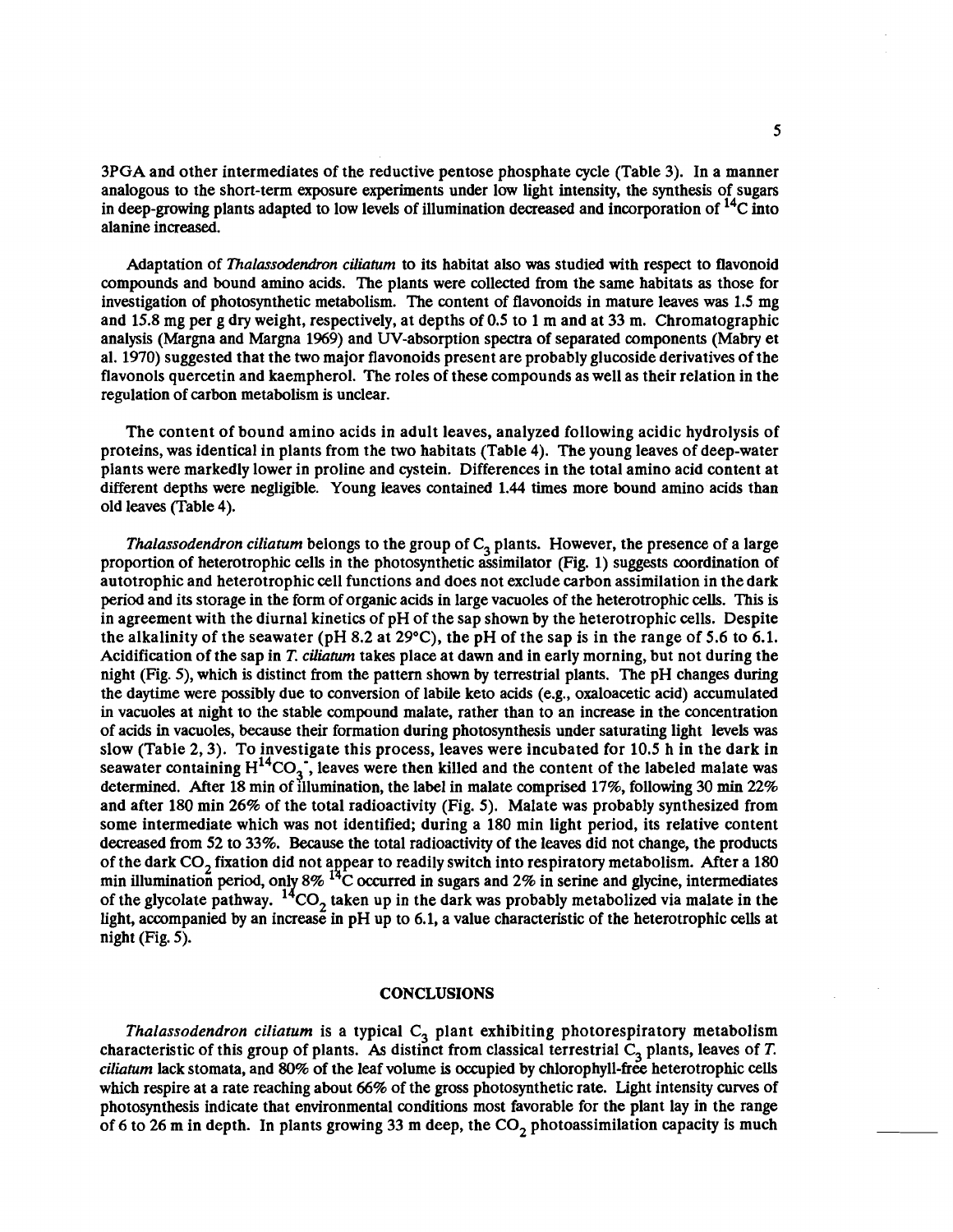3PGA and other intermediates of the reductive pentose phosphate cycle (Table 3). In a manner analogous to the short-term exposure experiments under low light intensity, the synthesis of sugars in deep-growing plants adapted to low levels of illumination decreased and incorporation of  $^{14}C$  into alanine increased.

Adaptation of *Thalassodendron ciliaturn* to its habitat also **was** studied with respect to flavonoid compounds and bound amino acids. The plants were collected from the same habitats as those for investigation of photosynthetic metabolism. The content of flavonoids in mature leaves was 1.5 mg and 15.8 mg per g dry weight, respectively, at depths of 0.5 to 1 m and at 33 m. Chromatographic analysis (Margna and Margna 1969) and UV-absorption spectra of separated components (Mabry et al. 1970) suggested that the two major flavonoids present are probably glucoside derivatives of the flavonols quercetin and kaempherol. The roles of these compounds as well as their relation in the regulation of carbon metabolism is unclear.

The content of bound amino acids in adult leaves, analyzed following acidic hydrolysis of proteins, was identical in plants from the two habitats (Table 4). The young leaves of deep-water plants were markedly lower in proline and cystein. Differences in the total amino acid content at different depths were negligible. Young leaves contained 1.44 times more bound amino acids than old leaves (Table 4).

*Thalassodendron ciliatum* belongs to the group of C<sub>3</sub> plants. However, the presence of a large proportion of heterotrophic cells in the photosynthetic assimilator (Fig. 1) suggests coordination of autotrophic and heterotrophic cell functions and does not exclude carbon assimilation in the dark period and its storage in the form of organic acids in large vacuoles of the heterotrophic cells. This is in agreement with the diurnal kinetics of pH of the sap shown by the heterotrophic cells. Despite the alkalinity of the seawater (pH 8.2 at 29 $^{\circ}$ C), the pH of the sap is in the range of 5.6 to 6.1. Acidification of the sap in **T.** *ciliaturn* takes place at dawn and in early morning, but not during the night (Fig. 5), which is distinct from the pattern shown by terrestrial plants. The pH changes during the daytime were possibly due to conversion of labile keto acids (e.g., oxaloacetic acid) accumulated in vacuoles at night to the stable compound malate, rather than to an increase in the concentration of acids in vacuoles, because their formation during photosynthesis under saturating light levels was slow (Table 2,3). To investigate this process, leaves were incubated for 10.5 h in the dark in seawater containing  $H^{14}CO_3$ , leaves were then killed and the content of the labeled malate was determined. After 18 min of illumination, the label in malate comprised 17%, following 30 **min** 22% and after 180 min 26% of the total radioactivity (Fig. 5). Malate was probably synthesized from some intermediate which was not identified; during a 180 min light period, its relative content decreased from 52 to 33%. Because the total radioactivity of the leaves did not change, the products of the dark  $CO<sub>2</sub>$  fixation did not appear to readily switch into respiratory metabolism. After a 180 min illumination period, only 8% <sup>14</sup>C occurred in sugars and 2% in serine and glycine, intermediates of the glycolate pathway. <sup>14</sup>CO<sub>2</sub> taken up in the dark was probably metabolized via malate in the light, accompanied by an increase in pH up to 6.1, a value characteristic of the heterotrophic cells at night (Fig. 5).

#### **CONCLUSIONS**

*Thalassodendron ciliatum* is a typical C<sub>3</sub> plant exhibiting photorespiratory metabolism characteristic of this group of plants. As distinct from classical terrestrial C<sub>3</sub> plants, leaves of T. *ciliaturn* lack stomata, and 80% of the leaf volume is occupied by chlorophyll-free heterotrophic cells which respire at a rate reaching about 66% of the gross photosynthetic rate. Light intensity curves of photosynthesis indicate that environmental conditions most favorable for the plant lay in the range of 6 to 26 m in depth. In plants growing 33 m deep, the  $CO_2$  photoassimilation capacity is much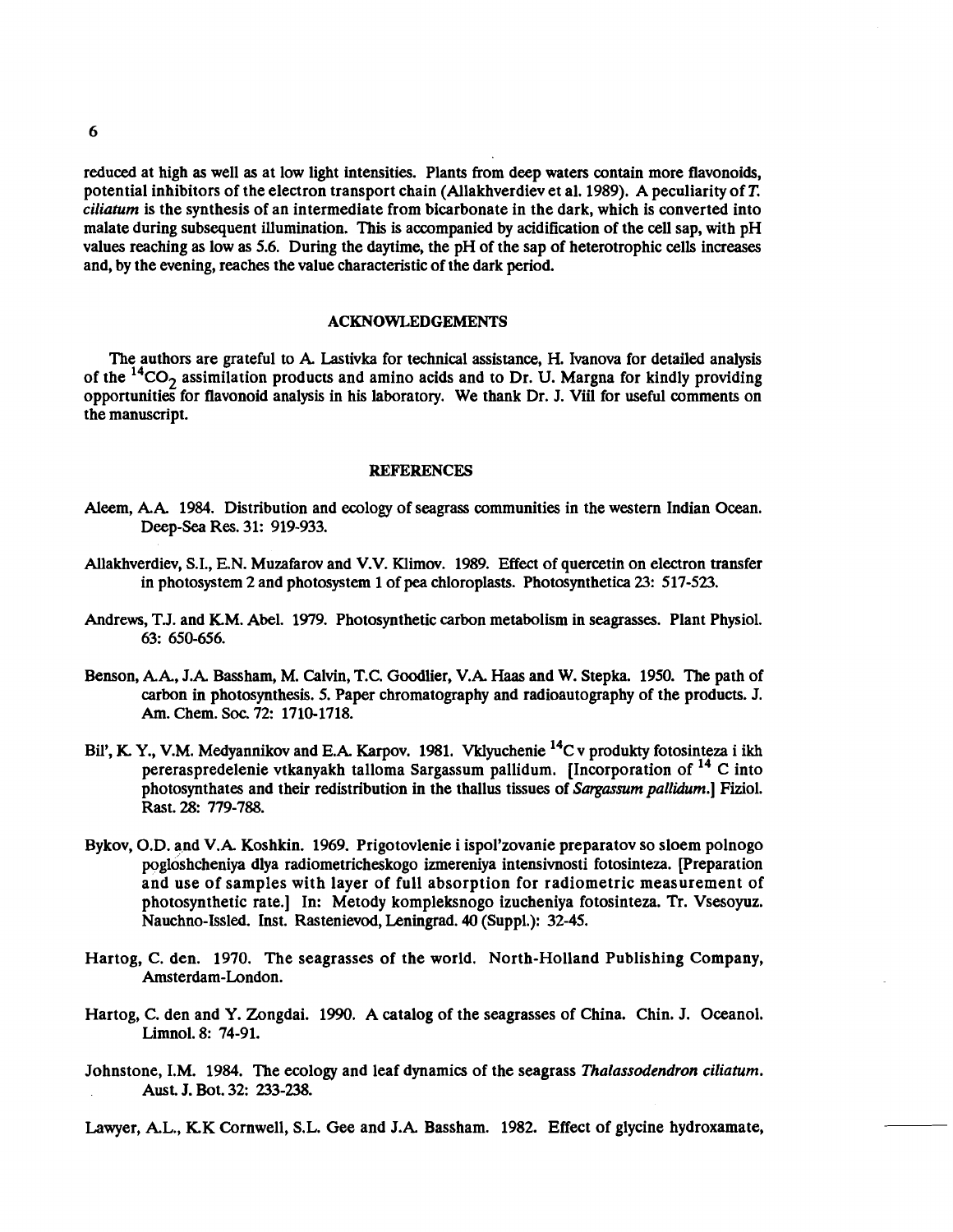reduced at high as well as at low light intensities. Plants from deep waters contain more flavonoids, potential inhibitors of the electron transport chain (Allakhverdiev et al. 1989). A peculiarity of **T.**  *ciliantm* is the synthesis of an intermediate from bicarbonate in the dark, which is converted into malate during subsequent illumination. This is accompanied by acidification of the cell sap, with pH values reaching as low as 5.6. During the daytime, the pH of the sap of heterotrophic cells increases and, by the evening, reaches the value characteristic of the dark period.

## **ACKNOWLEDGEMENTS**

The authors are grateful to A. Lastivka for technical assistance, H. Ivanova for detailed analysis of the  ${}^{14}CO_2$  assimilation products and amino acids and to Dr. U. Margna for kindly providing opportunities for flavonoid analysis in his laboratory. We thank Dr. J. Viil for useful comments on the manuscript.

## **REFERENCES**

- Aleem, A.A. 1984. Distribution and ecology of seagrass communities in the western Indian Ocean. Deep-sea Res. 31: 919-933.
- Allakhverdiev, S.I., E.N. Muzafarov and V.V. Klimov. 1989. Effect of quercetin on electron transfer in photosystem 2 and photosystem 1 of pea chloroplasts. Photosynthetica 23: 517-523.
- Andrews, T.J. and KM. Abel. 1979. Photosynthetic carbon metabolism in seagrasses. Plant Physiol. 63: 650-656.
- Benson, A.A., J.A. Bassham, M. Calvin, T.C. Goodlier, V.k Haas and W. Stepka. 1950. The path of carbon in photosynthesis. 5. Paper chromatography and radioautography of the products. J. Am. Chem. Soc. 72: 1710-1718.
- Bil', K. Y., V.M. Medyannikov and E.A. Karpov. 1981. Vklyuchenie <sup>14</sup>C v produkty fotosinteza i ikh pereraspredelenie vtkanyakh talloma Sargassum pallidum. [Incorporation of <sup>14</sup> C into photosynthates and their redistribution in the thallus tissues of *Sargassum pallidum.]* Fiziol. Rast. 28: 779-788.
- Bykov, O.D. and V.A. Koshkin. 1969. Prigotovlenie i ispol'zovanie preparatov so sloem polnogo pogloshcheniya dlya radiometricheskogo izmereniya intensivnosti fotosinteza. [Preparation and use of samples with layer of full absorption for radiometric measurement of photosynthetic rate.] In: Metody kompleksnogo izucheniya fotosinteza. Tr. Vsesoyuz. Nauchno-Issled. Inst. Rastenievod, Leningrad. **40** (Suppl.): 32-45.
- Hartog, C. den. 1970. The seagrasses of the world. North-Holland Publishing Company, Amsterdam-London.
- Hartog, C. den and Y. Zongdai. 1990. A catalog of the seagrasses of China. Chin. J. Oceanol. Limnol. 8: 74-91.
- Johnstone, I.M. 1984. The ecology and leaf dynamics of the seagrass *Thalassodendron ciliatum.*  Aust. J. Bot. 32: 233-238.

Lawyer, A.L., KK Cornwell, S.L. Gee and J.A. Bassham. 1982. Effect of glycine hydroxamate,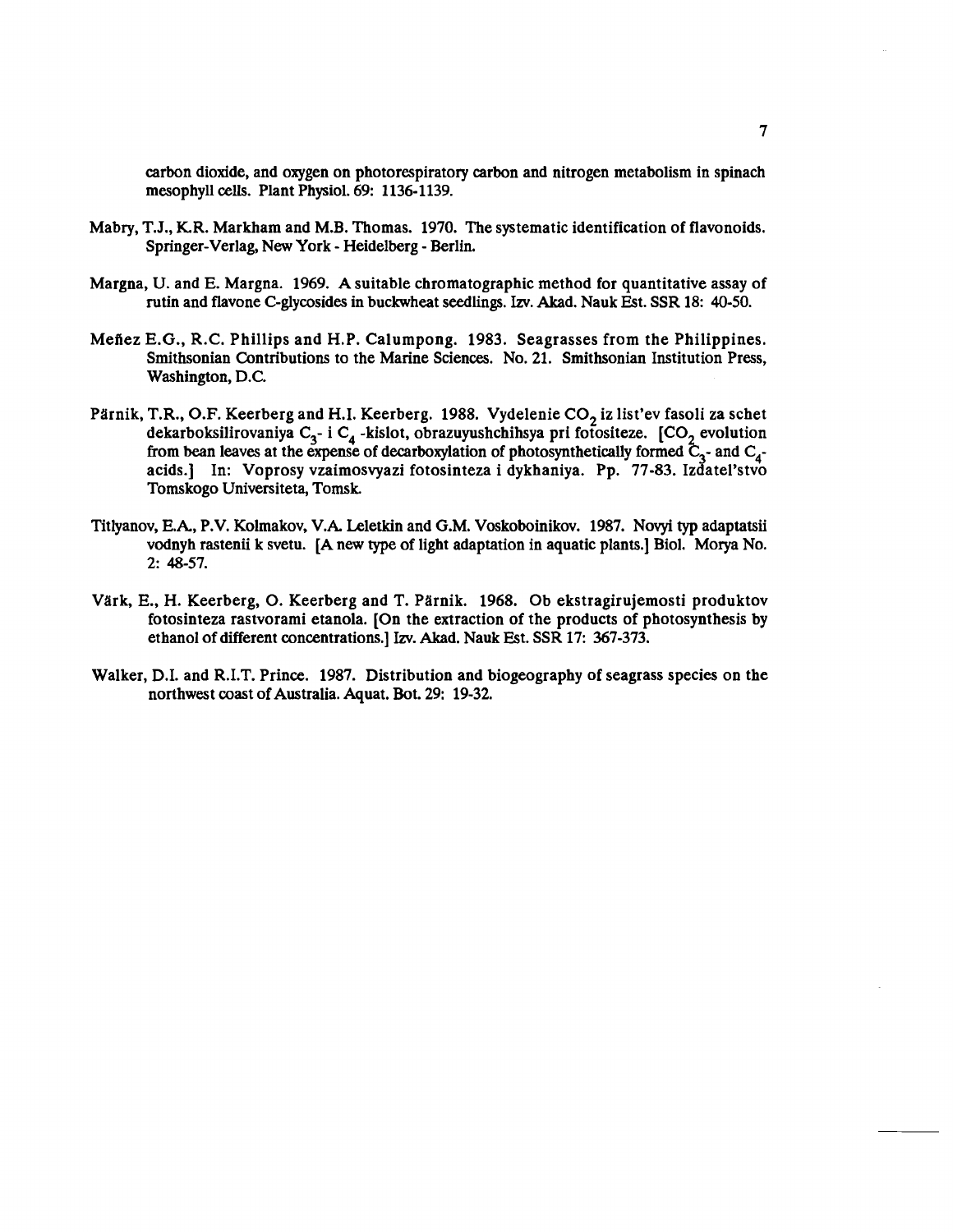carbon dioxide, and oxygen on photorespiratory carbon and nitrogen metabolism in spinach mesophyll cells. Plant Physiol. **69: 1136-1139.** 

- Mabry, T.J., KR. Markham and M.B. Thomas. **1970.** The systematic identification of flavonoids. Springer-Verlag, New York - Heidelberg - Berlin.
- Margna, U. and E. Margna. **1969.** A suitable chromatographic method for quantitative assay of rutin and flavone C-glycosides in buckwheat seedlings. **Izv.** Akad. Nauk Est. SSR **18: 40-50.**
- Mefiez E.G., R.C. Phillips and H.P. Calumpong. **1983.** Seagrasses from the Philippines. Smithsonian Contributions to the Marine Sciences. No. **21.** Smithsonian Institution Press, Washington, D.C.
- Pärnik, T.R., O.F. Keerberg and H.I. Keerberg. 1988. Vydelenie CO<sub>2</sub> iz list'ev fasoli za schet dekarboksilirovaniya C<sub>3</sub>- i C<sub>4</sub>-kislot, obrazuyushchihsya pri fotositeze. [CO<sub>2</sub> evolution from bean leaves at the expense of decarboxylation of photosynthetically formed  $\tilde{C}_{3}$ - and  $C_{4}$ acids.] In: Voprosy vzaimosvyazi fotosinteza i dykhaniya. Pp. **77-83.** Izdatel'stvo Tomskogo Universiteta, Tomsk
- Titlyanov, E.A., P.V. Kolmakov, V.A. Leletkin and G.M. Voskoboinikov. **1987.** Novyi **typ** adaptatsii vodnyh rastenii k svetu. [A new type of light adaptation in aquatic plants.] Biol. Morya No. **2: 48-57.**
- Värk, E., H. Keerberg, O. Keerberg and T. Pärnik. 1968. Ob ekstragirujemosti produktov fotosinteza rastvorami etanola. [On the extraction of the products of photosynthesis by ethanol of different concentrations.] Izv. Akad. Nauk Est. SSR **17: 367-373.**
- Walker, D.I. and R.I.T. Prince. **1987.** Distribution and biogeography of seagrass species on the northwest coast of Australia. Aquat. Bot. **29: 19-32.**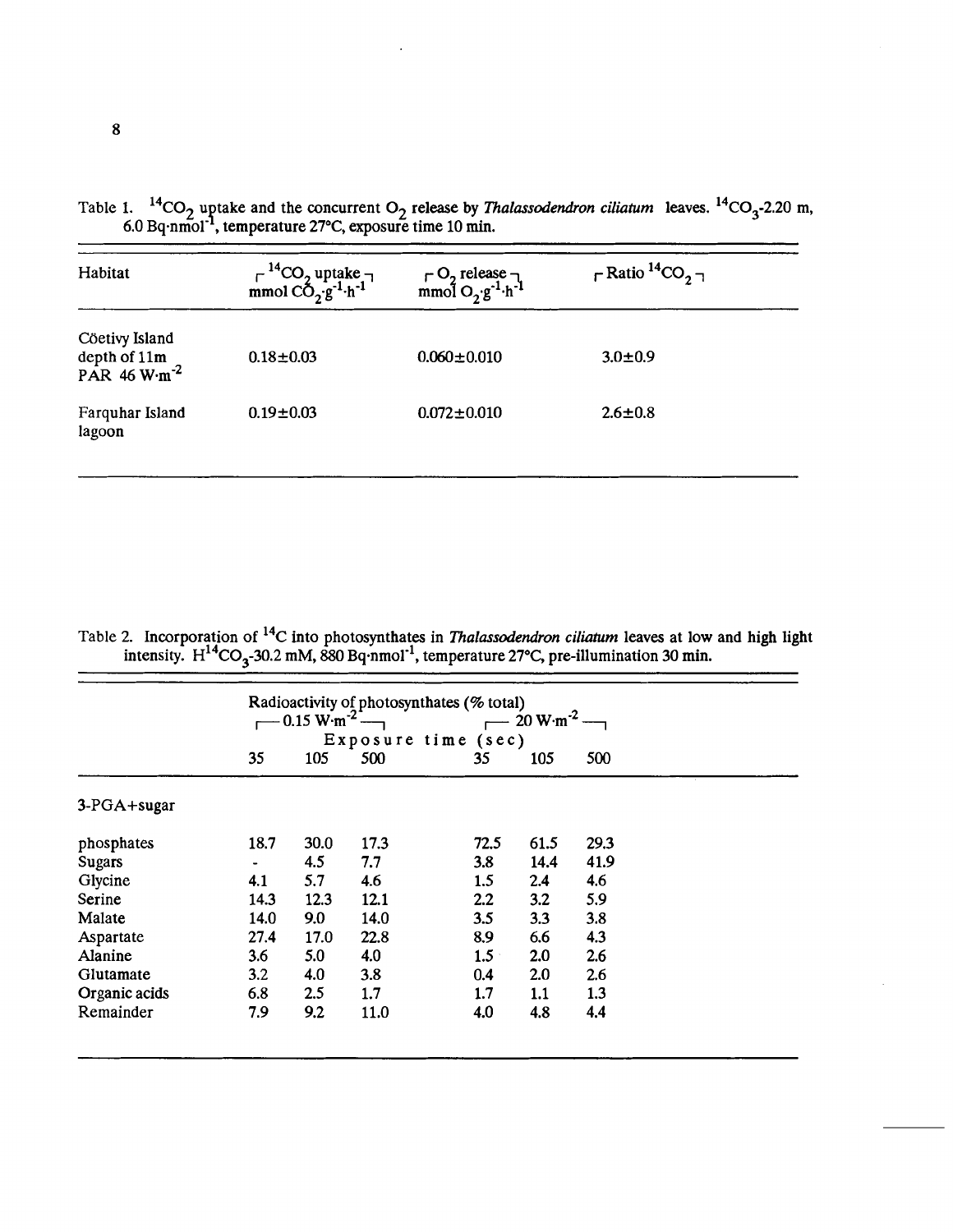| Habitat                                                      | $\Gamma^{-14}CO_2$ uptake $\neg$<br>mmol CO <sub>2</sub> .g <sup>-1</sup> ·h <sup>-1</sup> | $\begin{array}{c}\n\Gamma \text{ O}_2 \text{ release} \\ \text{mmol } \text{O}_2 \text{ g}^{-1} \cdot \text{h}^{-1}\n\end{array}$ | $\Gamma$ Ratio ${}^{14}CO_2$ $\neg$ |
|--------------------------------------------------------------|--------------------------------------------------------------------------------------------|-----------------------------------------------------------------------------------------------------------------------------------|-------------------------------------|
| Cöetivy Island<br>depth of $11m$<br>PAR 46 W·m <sup>-2</sup> | $0.18 + 0.03$                                                                              | $0.060 \pm 0.010$                                                                                                                 | $3.0 \pm 0.9$                       |
| Farquhar Island<br>lagoon                                    | $0.19 \pm 0.03$                                                                            | $0.072 \pm 0.010$                                                                                                                 | $2.6 \pm 0.8$                       |

Table 1.  $^{14}CO_2$  uptake and the concurrent O<sub>2</sub> release by *Thalassodendron ciliatum* leaves.  $^{14}CO_3$ -2.20 m, 6.0 Bq·nmol<sup>-1</sup>, temperature 27°C, exposure time 10 min.

|  |  | Table 2. Incorporation of <sup>14</sup> C into photosynthates in <i>Thalassodendron ciliatum</i> leaves at low and high light |  |  |
|--|--|-------------------------------------------------------------------------------------------------------------------------------|--|--|
|  |  | intensity. $H^{14}CO_2$ -30.2 mM, 880 Bq·nmol <sup>-1</sup> , temperature 27°C, pre-illumination 30 min.                      |  |  |

|               |      | $0.15 \text{ W} \cdot \text{m}^{-2}$ . |      | Radioactivity of photosynthates (% total)<br>Exposure time (sec) | $20 W·m-2$ |      |  |
|---------------|------|----------------------------------------|------|------------------------------------------------------------------|------------|------|--|
|               | 35   | 105                                    | 500  | 35                                                               | 105        | 500  |  |
| 3-PGA+sugar   |      |                                        |      |                                                                  |            |      |  |
| phosphates    | 18.7 | 30.0                                   | 17.3 | 72.5                                                             | 61.5       | 29.3 |  |
| <b>Sugars</b> | ٠    | 4.5                                    | 7.7  | 3.8                                                              | 14.4       | 41.9 |  |
| Glycine       | 4.1  | 5.7                                    | 4.6  | 1.5                                                              | 2.4        | 4.6  |  |
| Serine        | 14.3 | 12.3                                   | 12.1 | 2.2                                                              | 3.2        | 5.9  |  |
| Malate        | 14.0 | 9.0                                    | 14.0 | 3.5                                                              | 3.3        | 3.8  |  |
| Aspartate     | 27.4 | 17.0                                   | 22.8 | 8.9                                                              | 6.6        | 4.3  |  |
| Alanine       | 3.6  | 5.0                                    | 4.0  | 1.5                                                              | 2.0        | 2.6  |  |
| Glutamate     | 3.2  | 4.0                                    | 3.8  | 0.4                                                              | 2.0        | 2.6  |  |
| Organic acids | 6.8  | 2.5                                    | 1.7  | 1.7                                                              | 1.1        | 1.3  |  |
| Remainder     | 7.9  | 9.2                                    | 11.0 | 4.0                                                              | 4.8        | 4.4  |  |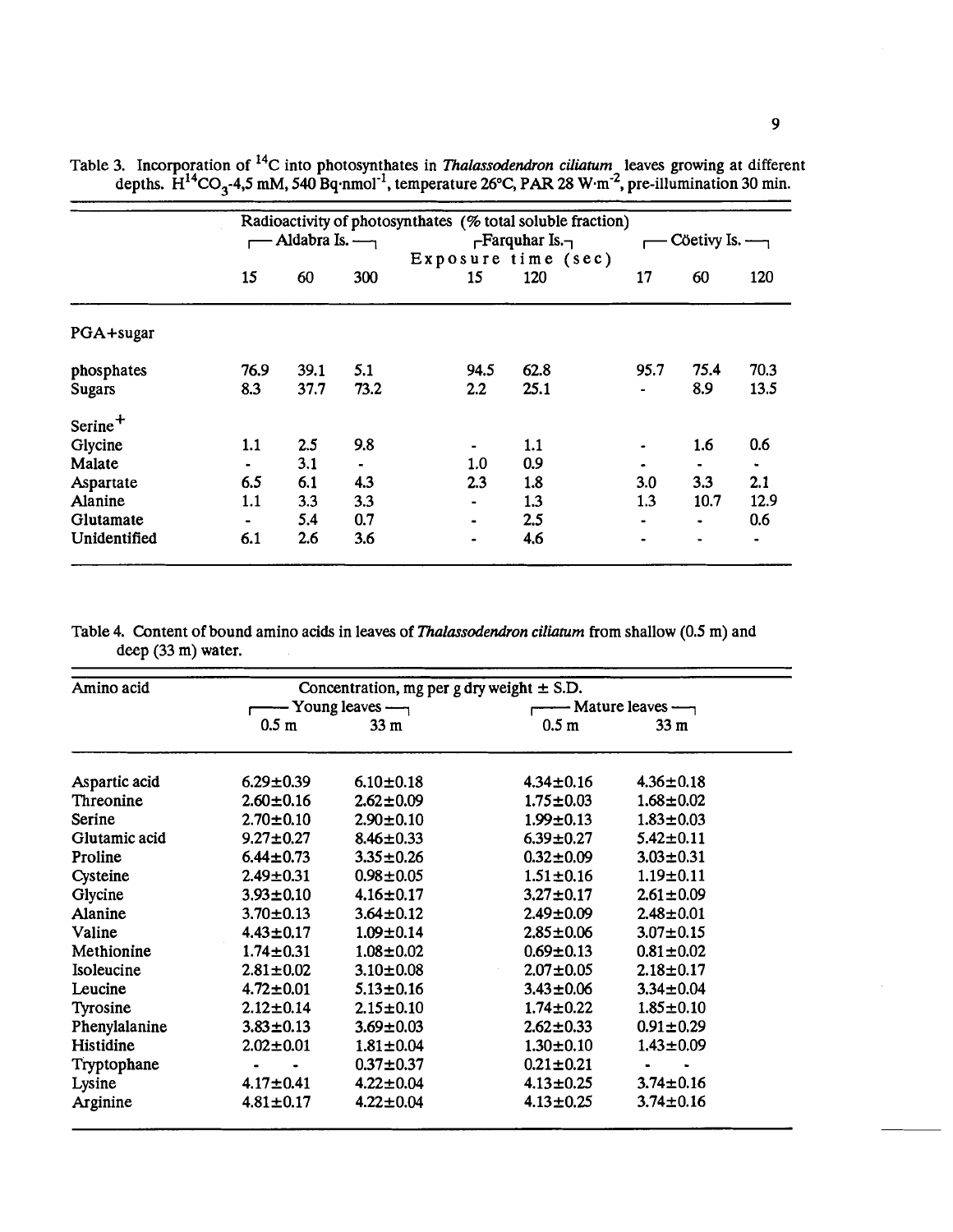|                     | Radioactivity of photosynthates (% total soluble fraction) |                               |      |                     |                       |                |                               |      |  |
|---------------------|------------------------------------------------------------|-------------------------------|------|---------------------|-----------------------|----------------|-------------------------------|------|--|
|                     |                                                            | Aldabra Is. $\longrightarrow$ |      |                     | $\Gamma$ Farquhar Is. |                | Cöetivy Is. $\longrightarrow$ |      |  |
|                     |                                                            |                               |      | Exposure time (sec) |                       |                |                               |      |  |
|                     | 15                                                         | 60                            | 300  | 15                  | 120                   | 17             | 60                            | 120  |  |
| PGA+sugar           |                                                            |                               |      |                     |                       |                |                               |      |  |
| phosphates          | 76.9                                                       | 39.1                          | 5.1  | 94.5                | 62.8                  | 95.7           | 75.4                          | 70.3 |  |
| <b>Sugars</b>       | 8.3                                                        | 37.7                          | 73.2 | $2.2\phantom{0}$    | 25.1                  | $\blacksquare$ | 8.9                           | 13.5 |  |
| Serine <sup>+</sup> |                                                            |                               |      |                     |                       |                |                               |      |  |
| Glycine             | 1.1                                                        | 2.5                           | 9.8  |                     | 1.1                   |                | 1.6                           | 0.6  |  |
| Malate              | ۰.                                                         | 3.1                           |      | 1.0                 | 0.9                   |                |                               |      |  |
| Aspartate           | 6.5                                                        | 6.1                           | 4.3  | 2.3                 | 1.8                   | 3.0            | 3.3                           | 2.1  |  |
| Alanine             | 1.1                                                        | 3.3                           | 3.3  |                     | 1.3                   | 1.3            | 10.7                          | 12.9 |  |
| Glutamate           | $\blacksquare$                                             | 5.4                           | 0.7  | ۰                   | 2.5                   | $\blacksquare$ | $\bullet$                     | 0.6  |  |
| Unidentified        | 6.1                                                        | 2.6                           | 3.6  | $\blacksquare$      | 4.6                   |                | $\blacksquare$                |      |  |

Table 3. Incorporation of <sup>14</sup>C into photosynthates in *Thalassodendron ciliatum*, leaves growing at different depths.  $H^{14}CO_3$ -4,5 mM, 540 Bq·nmol<sup>-1</sup>, temperature 26°C, PAR 28 W·m<sup>-2</sup>, pre-illumination 30 min.

Table 4. Content of bound amino acids in leaves of *Thalassodendron ciliaturn* from shallow (0.5 m) and deep (33 m) water.

| Amino acid     |                  | Concentration, mg per g dry weight $\pm$ S.D. |                                                   |                 |  |
|----------------|------------------|-----------------------------------------------|---------------------------------------------------|-----------------|--|
|                |                  | $-$ Young leaves $-$                          | $\longrightarrow$ Mature leaves $\longrightarrow$ |                 |  |
|                | 0.5 <sub>m</sub> | 33 <sub>m</sub>                               | 0.5 <sub>m</sub>                                  | 33 <sub>m</sub> |  |
| Aspartic acid  | $6.29 \pm 0.39$  | $6.10 \pm 0.18$                               | $4.34 \pm 0.16$                                   | $4.36 \pm 0.18$ |  |
| Threonine      | $2.60 \pm 0.16$  | $2.62 \pm 0.09$                               | $1.75 \pm 0.03$                                   | $1.68 \pm 0.02$ |  |
| Serine         | $2.70 \pm 0.10$  | $2.90 \pm 0.10$                               | $1.99 \pm 0.13$                                   | $1.83 \pm 0.03$ |  |
| Glutamic acid  | $9.27 \pm 0.27$  | $8.46 \pm 0.33$                               | $6.39 \pm 0.27$                                   | $5.42 \pm 0.11$ |  |
| Proline        | $6.44 \pm 0.73$  | $3.35 \pm 0.26$                               | $0.32 \pm 0.09$                                   | $3.03 \pm 0.31$ |  |
| Cysteine       | $2.49 \pm 0.31$  | $0.98 + 0.05$                                 | $1.51 \pm 0.16$                                   | $1.19 + 0.11$   |  |
| Glycine        | $3.93 \pm 0.10$  | $4.16 \pm 0.17$                               | $3.27 \pm 0.17$                                   | $2.61 \pm 0.09$ |  |
| <b>Alanine</b> | $3.70 \pm 0.13$  | $3.64 \pm 0.12$                               | $2.49 \pm 0.09$                                   | $2.48 \pm 0.01$ |  |
| Valine         | $4.43 \pm 0.17$  | $1.09 \pm 0.14$                               | $2.85 \pm 0.06$                                   | $3.07 \pm 0.15$ |  |
| Methionine     | $1.74 \pm 0.31$  | $1.08 \pm 0.02$                               | $0.69 \pm 0.13$                                   | $0.81 \pm 0.02$ |  |
| Isoleucine     | $2.81 \pm 0.02$  | $3.10 \pm 0.08$                               | $2.07 \pm 0.05$                                   | $2.18 \pm 0.17$ |  |
| Leucine        | $4.72 \pm 0.01$  | $5.13 \pm 0.16$                               | $3.43 \pm 0.06$                                   | $3.34 \pm 0.04$ |  |
| Tyrosine       | $2.12 \pm 0.14$  | $2.15 \pm 0.10$                               | $1.74 \pm 0.22$                                   | $1.85 \pm 0.10$ |  |
| Phenylalanine  | $3.83 \pm 0.13$  | $3.69 \pm 0.03$                               | $2.62 \pm 0.33$                                   | $0.91 \pm 0.29$ |  |
| Histidine      | $2.02 \pm 0.01$  | $1.81 \pm 0.04$                               | $1.30 \pm 0.10$                                   | $1.43 \pm 0.09$ |  |
| Tryptophane    |                  | $0.37 \pm 0.37$                               | $0.21 \pm 0.21$                                   |                 |  |
| Lysine         | $4.17 \pm 0.41$  | $4.22 \pm 0.04$                               | $4.13 \pm 0.25$                                   | $3.74 \pm 0.16$ |  |
| Arginine       | $4.81 \pm 0.17$  | $4.22 \pm 0.04$                               | $4.13 \pm 0.25$                                   | $3.74 \pm 0.16$ |  |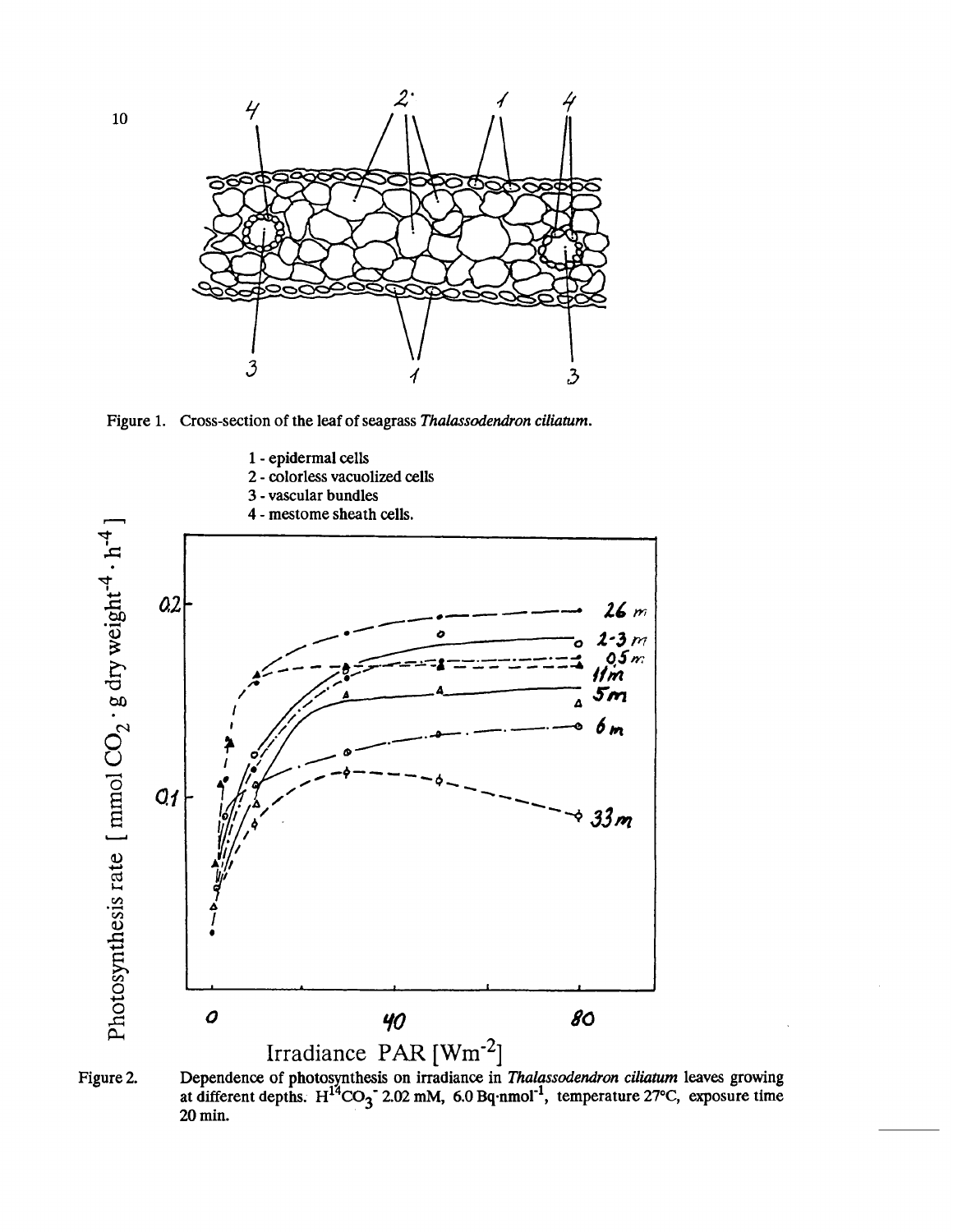

**Figure 1. Cross-section of the leaf of seagrass Thalassodendron ciliaturn.** 



Figure 2. **Dependence of photosynthesis on irradiance in Thalassodendron ciliaturn leaves growing**  at different depths. H<sup>14</sup>CO<sub>3</sub><sup>-</sup> 2.02 mM, 6.0 Bq·nmol<sup>-1</sup>, temperature 27<sup>o</sup>C, exposure time **20 min.** 

 $10$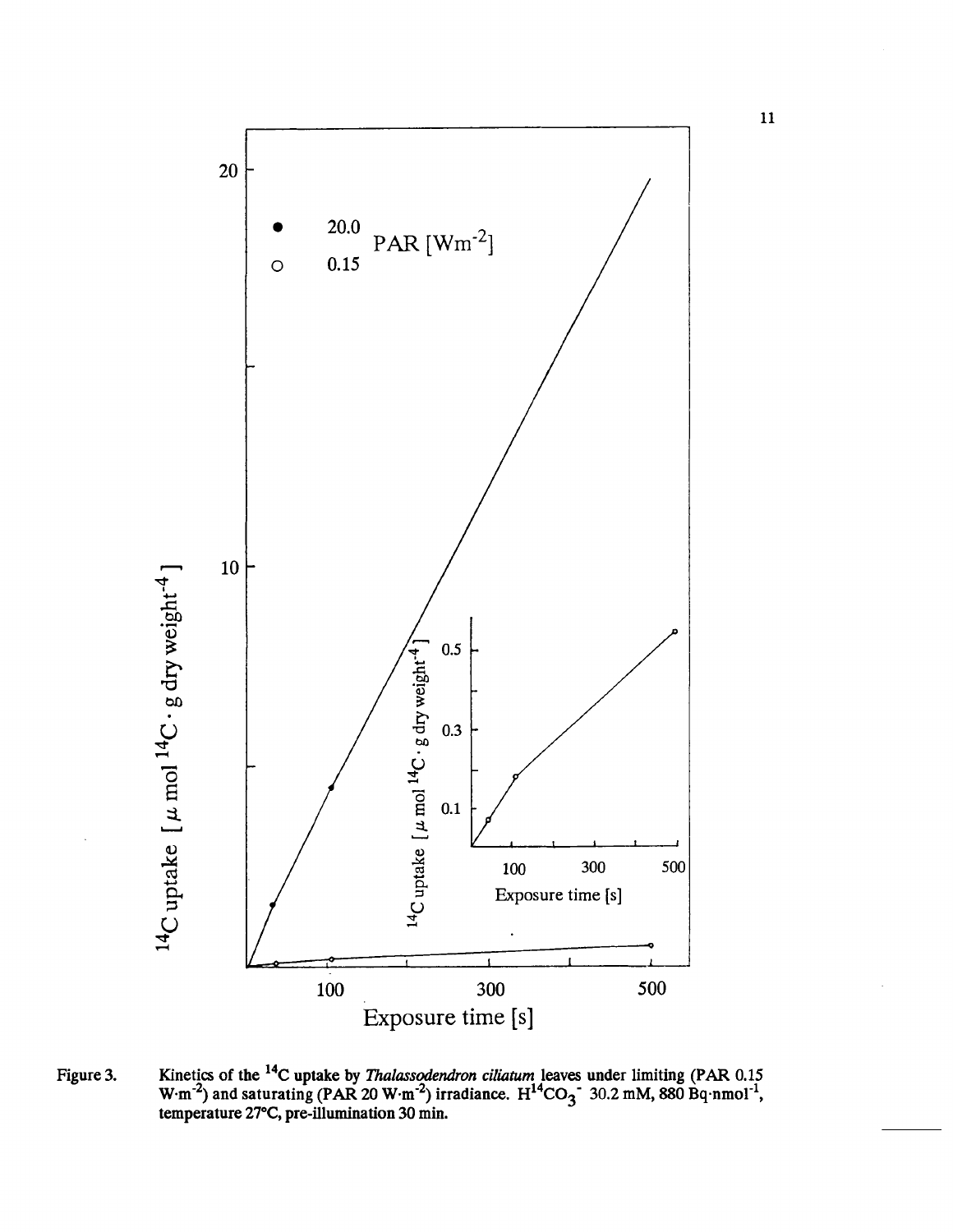

Figure 3. Kinetics of the <sup>14</sup>C uptake by *Thalassodendron ciliatum* leaves under limiting (PAR 0.15  $W \cdot m^{-2}$ ) and saturating (PAR 20  $W \cdot m^{-2}$ ) irradiance.  $H^{14}CO_3^{-3}$  30.2 mM, 880  $Bq \cdot nmol^{-1}$ , **temperature 27"C, pre-illumination 30 min.** 

 $\mathbf{11}$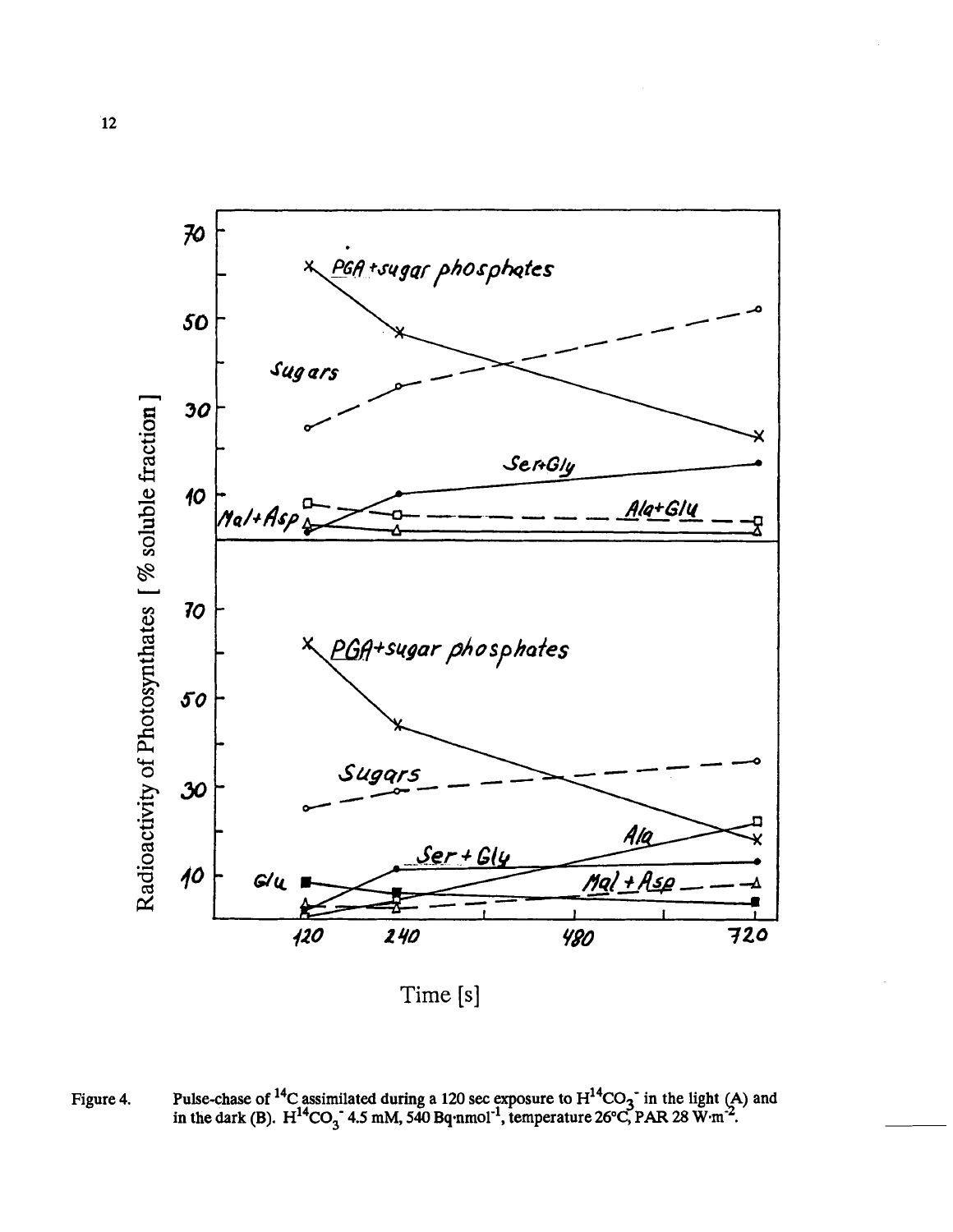

Time **[s]** 

Figure 4. Pulse-chase of <sup>14</sup>C assimilated during a 120 sec exposure to  $H^{14}CO_3^-$  in the light (A) and in the dark (B).  $H^{14}CO_3^-$  4.5 mM, 540 Bq·nmol<sup>-1</sup>, temperature 26°C, PAR 28 W·m<sup>-2</sup>.